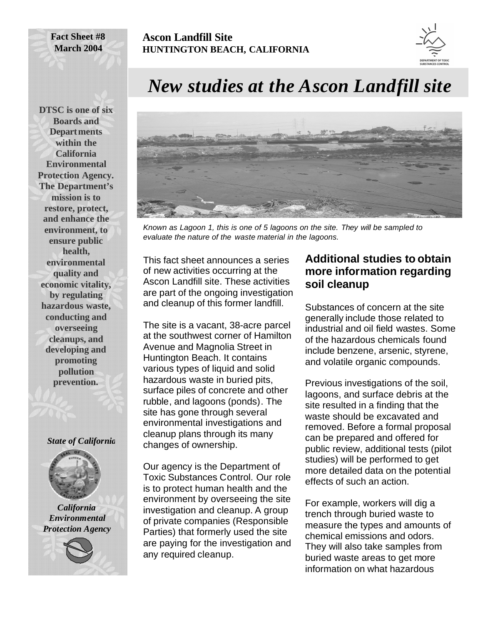## **Ascon Landfill Site HUNTINGTON BEACH, CALIFORNIA**



**DTSC is one of six Boards and Departments within the California Environmental Protection Agency. The Department's mission is to restore, protect, and enhance the environment, to ensure public health, environmental quality and economic vitality, by regulating hazardous waste, conducting and overseeing cleanups, and developing and promoting pollution prevention.**

**Fact Sheet #8 March 2004**

#### *State of California*



*California Environmental Protection Agency*



# *New studies at the Ascon Landfill site*



*Known as Lagoon 1, this is one of 5 lagoons on the site. They will be sampled to evaluate the nature of the waste material in the lagoons.*

This fact sheet announces a series of new activities occurring at the Ascon Landfill site. These activities are part of the ongoing investigation and cleanup of this former landfill.

The site is a vacant, 38-acre parcel at the southwest corner of Hamilton Avenue and Magnolia Street in Huntington Beach. It contains various types of liquid and solid hazardous waste in buried pits, surface piles of concrete and other rubble, and lagoons (ponds). The site has gone through several environmental investigations and cleanup plans through its many changes of ownership.

Our agency is the Department of Toxic Substances Control. Our role is to protect human health and the environment by overseeing the site investigation and cleanup. A group of private companies (Responsible Parties) that formerly used the site are paying for the investigation and any required cleanup.

#### **Additional studies to obtain more information regarding soil cleanup**

Substances of concern at the site generally include those related to industrial and oil field wastes. Some of the hazardous chemicals found include benzene, arsenic, styrene, and volatile organic compounds.

Previous investigations of the soil, lagoons, and surface debris at the site resulted in a finding that the waste should be excavated and removed. Before a formal proposal can be prepared and offered for public review, additional tests (pilot studies) will be performed to get more detailed data on the potential effects of such an action.

For example, workers will dig a trench through buried waste to measure the types and amounts of chemical emissions and odors. They will also take samples from buried waste areas to get more information on what hazardous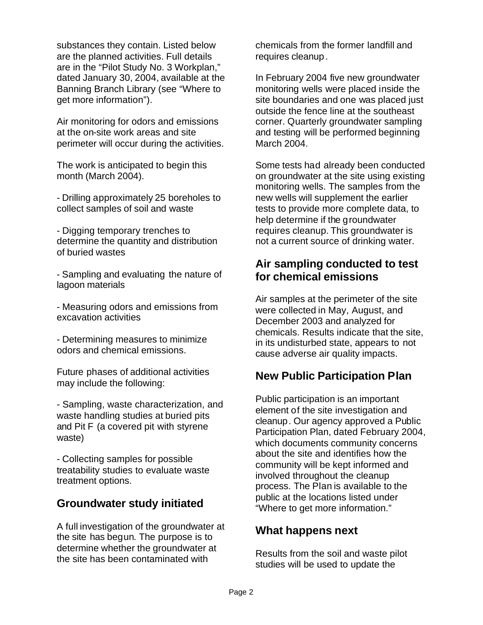substances they contain. Listed below are the planned activities. Full details are in the "Pilot Study No. 3 Workplan," dated January 30, 2004, available at the Banning Branch Library (see "Where to get more information").

Air monitoring for odors and emissions at the on-site work areas and site perimeter will occur during the activities.

The work is anticipated to begin this month (March 2004).

- Drilling approximately 25 boreholes to collect samples of soil and waste

- Digging temporary trenches to determine the quantity and distribution of buried wastes

- Sampling and evaluating the nature of lagoon materials

- Measuring odors and emissions from excavation activities

- Determining measures to minimize odors and chemical emissions.

Future phases of additional activities may include the following:

- Sampling, waste characterization, and waste handling studies at buried pits and Pit F (a covered pit with styrene waste)

- Collecting samples for possible treatability studies to evaluate waste treatment options.

### **Groundwater study initiated**

A full investigation of the groundwater at the site has begun. The purpose is to determine whether the groundwater at the site has been contaminated with

chemicals from the former landfill and requires cleanup.

In February 2004 five new groundwater monitoring wells were placed inside the site boundaries and one was placed just outside the fence line at the southeast corner. Quarterly groundwater sampling and testing will be performed beginning March 2004.

Some tests had already been conducted on groundwater at the site using existing monitoring wells. The samples from the new wells will supplement the earlier tests to provide more complete data, to help determine if the groundwater requires cleanup. This groundwater is not a current source of drinking water.

#### **Air sampling conducted to test for chemical emissions**

Air samples at the perimeter of the site were collected in May, August, and December 2003 and analyzed for chemicals. Results indicate that the site, in its undisturbed state, appears to not cause adverse air quality impacts.

### **New Public Participation Plan**

Public participation is an important element of the site investigation and cleanup. Our agency approved a Public Participation Plan, dated February 2004, which documents community concerns about the site and identifies how the community will be kept informed and involved throughout the cleanup process. The Plan is available to the public at the locations listed under "Where to get more information."

### **What happens next**

Results from the soil and waste pilot studies will be used to update the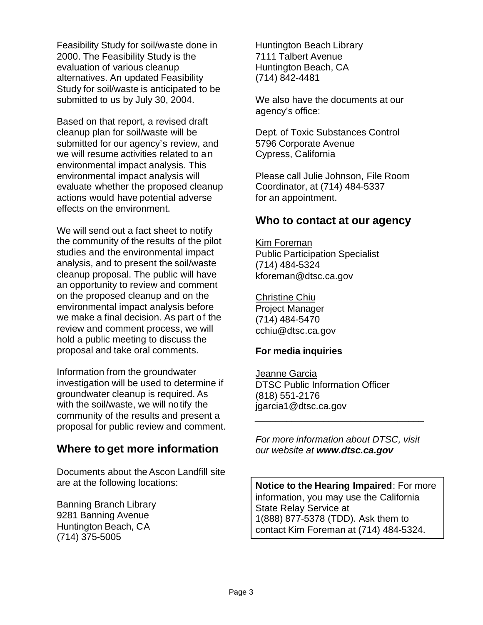Feasibility Study for soil/waste done in 2000. The Feasibility Study is the evaluation of various cleanup alternatives. An updated Feasibility Study for soil/waste is anticipated to be submitted to us by July 30, 2004.

Based on that report, a revised draft cleanup plan for soil/waste will be submitted for our agency's review, and we will resume activities related to an environmental impact analysis. This environmental impact analysis will evaluate whether the proposed cleanup actions would have potential adverse effects on the environment.

We will send out a fact sheet to notify the community of the results of the pilot studies and the environmental impact analysis, and to present the soil/waste cleanup proposal. The public will have an opportunity to review and comment on the proposed cleanup and on the environmental impact analysis before we make a final decision. As part of the review and comment process, we will hold a public meeting to discuss the proposal and take oral comments.

Information from the groundwater investigation will be used to determine if groundwater cleanup is required. As with the soil/waste, we will notify the community of the results and present a proposal for public review and comment.

### **Where to get more information**

Documents about the Ascon Landfill site are at the following locations:

Banning Branch Library 9281 Banning Avenue Huntington Beach, CA (714) 375-5005

Huntington Beach Library 7111 Talbert Avenue Huntington Beach, CA (714) 842-4481

We also have the documents at our agency's office:

Dept. of Toxic Substances Control 5796 Corporate Avenue Cypress, California

Please call Julie Johnson, File Room Coordinator, at (714) 484-5337 for an appointment.

#### **Who to contact at our agency**

Kim Foreman Public Participation Specialist (714) 484-5324 kforeman@dtsc.ca.gov

Christine Chiu Project Manager (714) 484-5470 cchiu@dtsc.ca.gov

#### **For media inquiries**

Jeanne Garcia DTSC Public Information Officer (818) 551-2176 jgarcia1@dtsc.ca.gov

*For more information about DTSC, visit our website at www.dtsc.ca.gov*

*\_\_\_\_\_\_\_\_\_\_\_\_\_\_\_\_\_\_\_\_\_\_\_\_\_\_\_\_\_\_\_\_*

**Notice to the Hearing Impaired**: For more information, you may use the California State Relay Service at 1(888) 877-5378 (TDD). Ask them to contact Kim Foreman at (714) 484-5324.